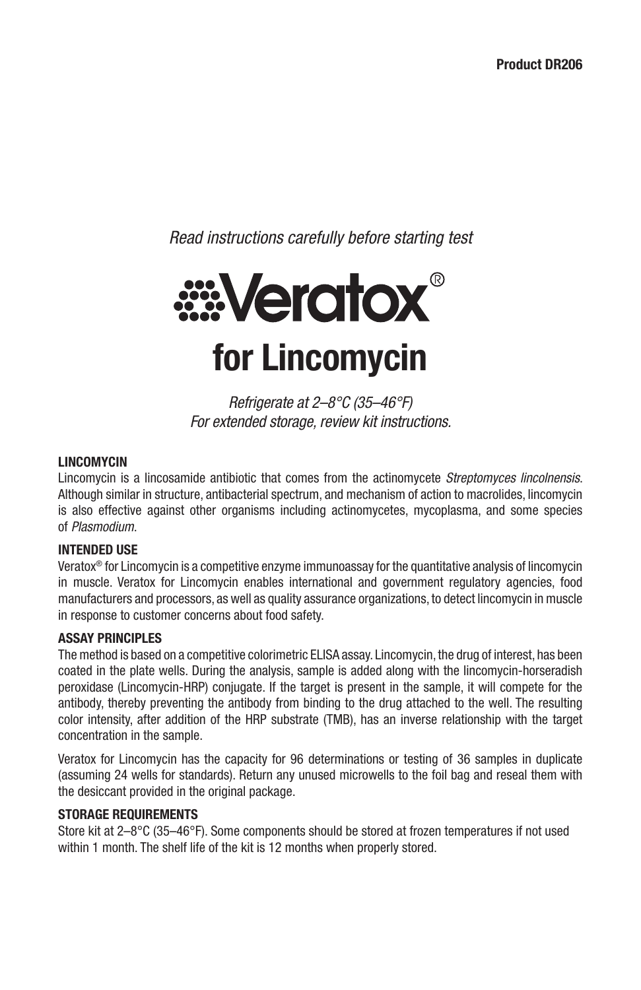*Read instructions carefully before starting test*



*Refrigerate at 2–8°C (35–46°F) For extended storage, review kit instructions.*

## **LINCOMYCIN**

Lincomycin is a lincosamide antibiotic that comes from the actinomycete *Streptomyces lincolnensis*. Although similar in structure, antibacterial spectrum, and mechanism of action to macrolides, lincomycin is also effective against other organisms including actinomycetes, mycoplasma, and some species of *Plasmodium*.

#### **INTENDED USE**

Veratox® for Lincomycin is a competitive enzyme immunoassay for the quantitative analysis of lincomycin in muscle. Veratox for Lincomycin enables international and government regulatory agencies, food manufacturers and processors, as well as quality assurance organizations, to detect lincomycin in muscle in response to customer concerns about food safety.

#### **ASSAY PRINCIPLES**

The method is based on a competitive colorimetric ELISA assay. Lincomycin, the drug of interest, has been coated in the plate wells. During the analysis, sample is added along with the lincomycin-horseradish peroxidase (Lincomycin-HRP) conjugate. If the target is present in the sample, it will compete for the antibody, thereby preventing the antibody from binding to the drug attached to the well. The resulting color intensity, after addition of the HRP substrate (TMB), has an inverse relationship with the target concentration in the sample.

Veratox for Lincomycin has the capacity for 96 determinations or testing of 36 samples in duplicate (assuming 24 wells for standards). Return any unused microwells to the foil bag and reseal them with the desiccant provided in the original package.

## **STORAGE REQUIREMENTS**

Store kit at 2–8°C (35–46°F). Some components should be stored at frozen temperatures if not used within 1 month. The shelf life of the kit is 12 months when properly stored.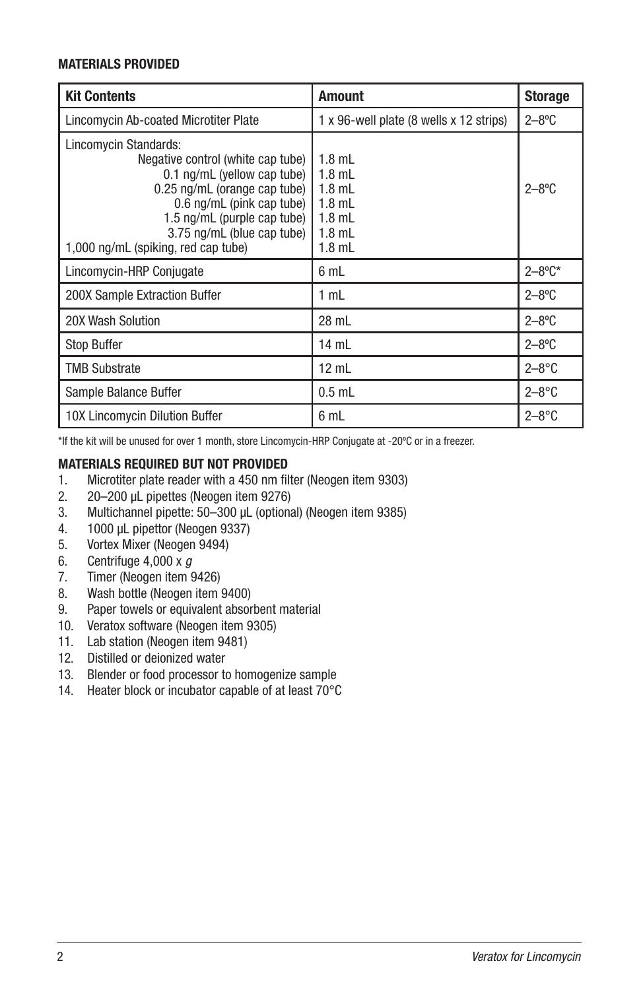## **MATERIALS PROVIDED**

| <b>Kit Contents</b>                                                                                                                                                                                                                                        | <b>Amount</b>                                                                    | <b>Storage</b> |
|------------------------------------------------------------------------------------------------------------------------------------------------------------------------------------------------------------------------------------------------------------|----------------------------------------------------------------------------------|----------------|
| Lincomycin Ab-coated Microtiter Plate                                                                                                                                                                                                                      | 1 x 96-well plate (8 wells x 12 strips)                                          | $2 - 8$ °C     |
| Lincomycin Standards:<br>Negative control (white cap tube)<br>0.1 ng/mL (yellow cap tube)<br>0.25 ng/mL (orange cap tube)<br>0.6 ng/mL (pink cap tube)<br>1.5 ng/mL (purple cap tube)<br>3.75 ng/mL (blue cap tube)<br>1,000 ng/mL (spiking, red cap tube) | $1.8$ mL<br>$1.8$ mL<br>$1.8$ mL<br>$1.8$ mL<br>$1.8$ mL<br>$1.8$ mL<br>$1.8$ mL | $2 - 8$ °C     |
| Lincomycin-HRP Conjugate                                                                                                                                                                                                                                   | 6 mL                                                                             | $2 - 8$ °C*    |
| 200X Sample Extraction Buffer                                                                                                                                                                                                                              | 1 mL                                                                             | $2 - 8$ °C     |
| 20X Wash Solution                                                                                                                                                                                                                                          | 28 mL                                                                            | $2 - 8$ °C     |
| Stop Buffer                                                                                                                                                                                                                                                | 14 mL                                                                            | $2 - 8$ °C     |
| TMB Substrate                                                                                                                                                                                                                                              | $12$ mL                                                                          | $2 - 8$ °C     |
| Sample Balance Buffer                                                                                                                                                                                                                                      | $0.5$ mL                                                                         | $2 - 8$ °C     |
| 10X Lincomycin Dilution Buffer                                                                                                                                                                                                                             | 6 mL                                                                             | $2 - 8$ °C     |

\*If the kit will be unused for over 1 month, store Lincomycin-HRP Conjugate at -20ºC or in a freezer.

## **MATERIALS REQUIRED BUT NOT PROVIDED**

- 1. Microtiter plate reader with a 450 nm filter (Neogen item 9303)
- 2. 20–200 µL pipettes (Neogen item 9276)
- 3. Multichannel pipette: 50–300 µL (optional) (Neogen item 9385)
- 4. 1000 µL pipettor (Neogen 9337)
- 5. Vortex Mixer (Neogen 9494)
- 6. Centrifuge 4,000 x *g*
- 7. Timer (Neogen item 9426)
- 8. Wash bottle (Neogen item 9400)
- 9. Paper towels or equivalent absorbent material
- 10. Veratox software (Neogen item 9305)
- 11. Lab station (Neogen item 9481)
- 12. Distilled or deionized water
- 13. Blender or food processor to homogenize sample
- 14. Heater block or incubator capable of at least 70°C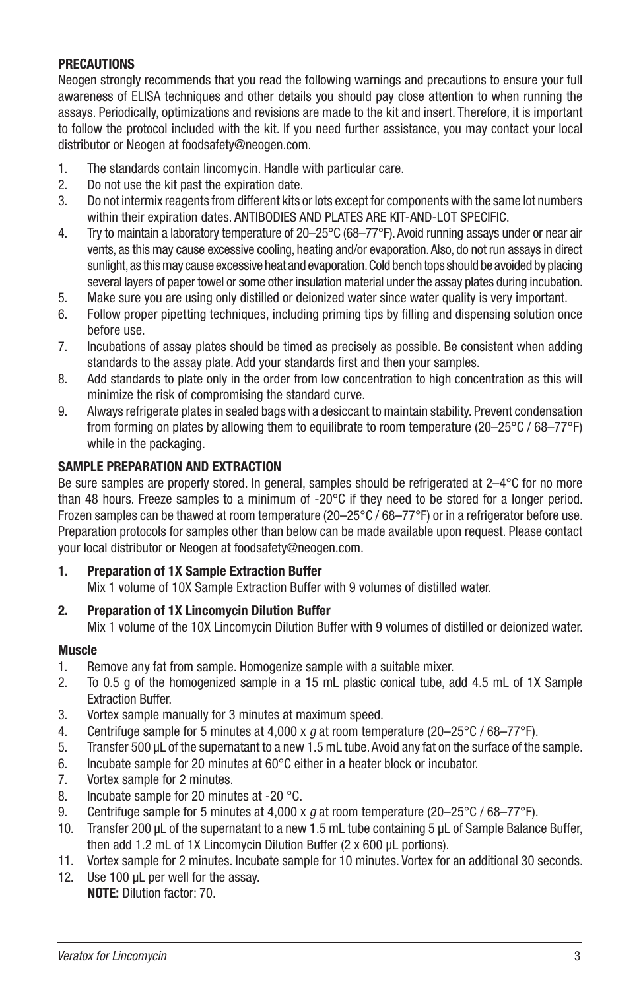## **PRECAUTIONS**

Neogen strongly recommends that you read the following warnings and precautions to ensure your full awareness of ELISA techniques and other details you should pay close attention to when running the assays. Periodically, optimizations and revisions are made to the kit and insert. Therefore, it is important to follow the protocol included with the kit. If you need further assistance, you may contact your local distributor or Neogen at foodsafety@neogen.com.

- 1. The standards contain lincomycin. Handle with particular care.
- 2. Do not use the kit past the expiration date.
- 3. Do not intermix reagents from different kits or lots except for components with the same lot numbers within their expiration dates. ANTIBODIES AND PLATES ARE KIT-AND-LOT SPECIFIC.
- 4. Try to maintain a laboratory temperature of 20–25°C (68–77°F). Avoid running assays under or near air vents, as this may cause excessive cooling, heating and/or evaporation. Also, do not run assays in direct sunlight, as this may cause excessive heat and evaporation. Cold bench tops should be avoided by placing several layers of paper towel or some other insulation material under the assay plates during incubation.
- 5. Make sure you are using only distilled or deionized water since water quality is very important.
- 6. Follow proper pipetting techniques, including priming tips by filling and dispensing solution once before use.
- 7. Incubations of assay plates should be timed as precisely as possible. Be consistent when adding standards to the assay plate. Add your standards first and then your samples.
- 8. Add standards to plate only in the order from low concentration to high concentration as this will minimize the risk of compromising the standard curve.
- 9. Always refrigerate plates in sealed bags with a desiccant to maintain stability. Prevent condensation from forming on plates by allowing them to equilibrate to room temperature (20–25°C / 68–77°F) while in the packaging.

## **SAMPLE PREPARATION AND EXTRACTION**

Be sure samples are properly stored. In general, samples should be refrigerated at 2–4°C for no more than 48 hours. Freeze samples to a minimum of -20°C if they need to be stored for a longer period. Frozen samples can be thawed at room temperature (20–25°C / 68–77°F) or in a refrigerator before use. Preparation protocols for samples other than below can be made available upon request. Please contact your local distributor or Neogen at foodsafety@neogen.com.

## **1. Preparation of 1X Sample Extraction Buffer**

Mix 1 volume of 10X Sample Extraction Buffer with 9 volumes of distilled water.

## **2. Preparation of 1X Lincomycin Dilution Buffer**

Mix 1 volume of the 10X Lincomycin Dilution Buffer with 9 volumes of distilled or deionized water.

## **Muscle**

- 1. Remove any fat from sample. Homogenize sample with a suitable mixer.
- 2. To 0.5 g of the homogenized sample in a 15 mL plastic conical tube, add 4.5 mL of 1X Sample Extraction Buffer.
- 3. Vortex sample manually for 3 minutes at maximum speed.
- 4. Centrifuge sample for 5 minutes at 4,000 x *g* at room temperature (20–25°C / 68–77°F).
- 5. Transfer 500 µL of the supernatant to a new 1.5 mL tube. Avoid any fat on the surface of the sample.
- 6. Incubate sample for 20 minutes at 60°C either in a heater block or incubator.
- 7. Vortex sample for 2 minutes.
- 8. Incubate sample for 20 minutes at -20 °C.
- 9. Centrifuge sample for 5 minutes at 4,000 x *g* at room temperature (20–25°C / 68–77°F).
- 10. Transfer 200 µL of the supernatant to a new 1.5 mL tube containing 5 µL of Sample Balance Buffer, then add 1.2 mL of 1X Lincomycin Dilution Buffer (2 x 600 µL portions).
- 11. Vortex sample for 2 minutes. Incubate sample for 10 minutes. Vortex for an additional 30 seconds.
- 12. Use 100 uL per well for the assay. **NOTE:** Dilution factor: 70.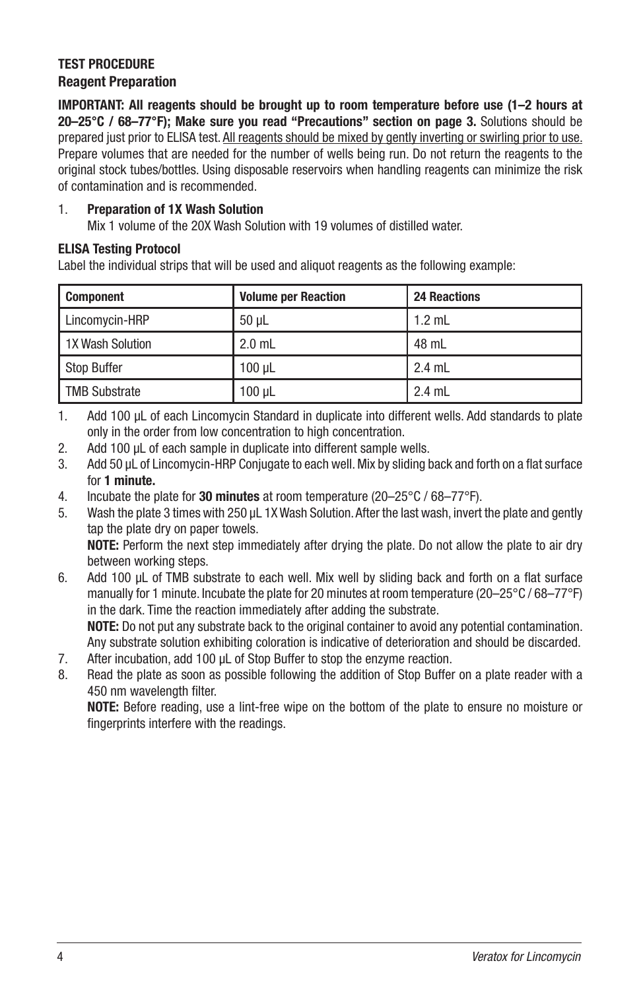## **TEST PROCEDURE Reagent Preparation**

**IMPORTANT: All reagents should be brought up to room temperature before use (1–2 hours at 20–25°C / 68–77°F); Make sure you read "Precautions" section on page 3.** Solutions should be prepared just prior to ELISA test. All reagents should be mixed by gently inverting or swirling prior to use. Prepare volumes that are needed for the number of wells being run. Do not return the reagents to the original stock tubes/bottles. Using disposable reservoirs when handling reagents can minimize the risk of contamination and is recommended.

## 1. **Preparation of 1X Wash Solution**

Mix 1 volume of the 20X Wash Solution with 19 volumes of distilled water.

## **ELISA Testing Protocol**

Label the individual strips that will be used and aliquot reagents as the following example:

| Component            | <b>Volume per Reaction</b> | <b>24 Reactions</b> |
|----------------------|----------------------------|---------------------|
| Lincomycin-HRP       | $50 \mu L$                 | $1.2$ mL            |
| 1X Wash Solution     | $2.0$ mL                   | 48 mL               |
| Stop Buffer          | $100 \mu L$                | $2.4$ mL            |
| <b>TMB Substrate</b> | $100$ $\mu$ L              | $2.4$ mL            |

1. Add 100 µL of each Lincomycin Standard in duplicate into different wells. Add standards to plate only in the order from low concentration to high concentration.

- 2. Add 100 µL of each sample in duplicate into different sample wells.
- 3. Add 50 µL of Lincomycin-HRP Conjugate to each well. Mix by sliding back and forth on a flat surface for **1 minute.**
- 4. Incubate the plate for **30 minutes** at room temperature (20–25°C / 68–77°F).
- 5. Wash the plate 3 times with 250 µL 1X Wash Solution. After the last wash, invert the plate and gently tap the plate dry on paper towels. **NOTE:** Perform the next step immediately after drying the plate. Do not allow the plate to air dry

between working steps.

- 6. Add 100 µL of TMB substrate to each well. Mix well by sliding back and forth on a flat surface manually for 1 minute. Incubate the plate for 20 minutes at room temperature (20–25°C / 68–77°F) in the dark. Time the reaction immediately after adding the substrate. **NOTE:** Do not put any substrate back to the original container to avoid any potential contamination. Any substrate solution exhibiting coloration is indicative of deterioration and should be discarded.
- 7. After incubation, add 100 µL of Stop Buffer to stop the enzyme reaction.
- 8. Read the plate as soon as possible following the addition of Stop Buffer on a plate reader with a 450 nm wavelength filter.

**NOTE:** Before reading, use a lint-free wipe on the bottom of the plate to ensure no moisture or fingerprints interfere with the readings.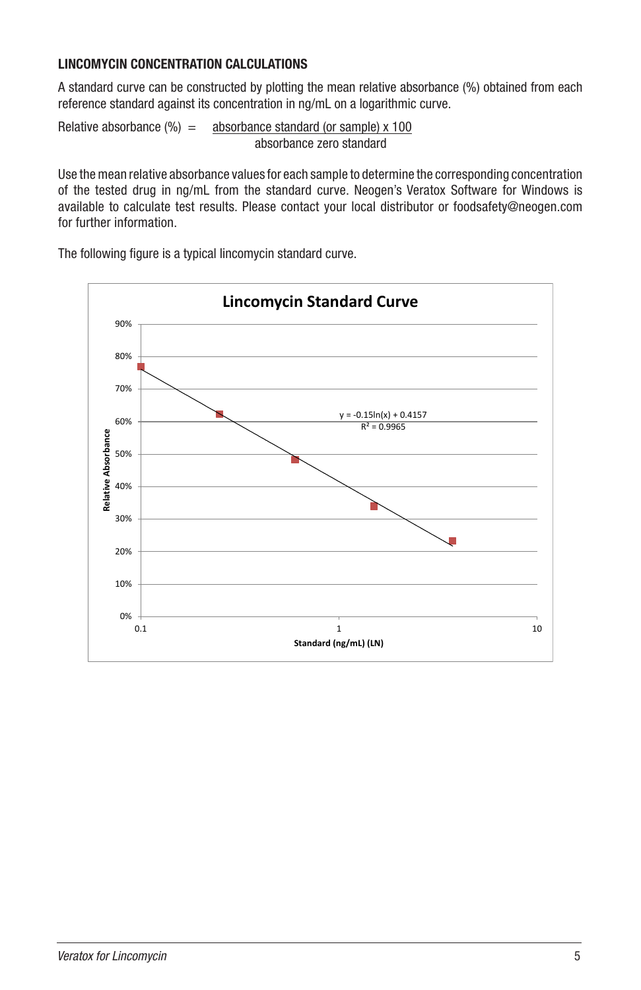## **LINCOMYCIN CONCENTRATION CALCULATIONS**

A standard curve can be constructed by plotting the mean relative absorbance (%) obtained from each reference standard against its concentration in ng/mL on a logarithmic curve.

Relative absorbance  $(\%) =$  absorbance standard (or sample) x 100 absorbance zero standard

Use the mean relative absorbance values for each sample to determine the corresponding concentration of the tested drug in ng/mL from the standard curve. Neogen's Veratox Software for Windows is available to calculate test results. Please contact your local distributor or foodsafety@neogen.com for further information.

The following figure is a typical lincomycin standard curve.

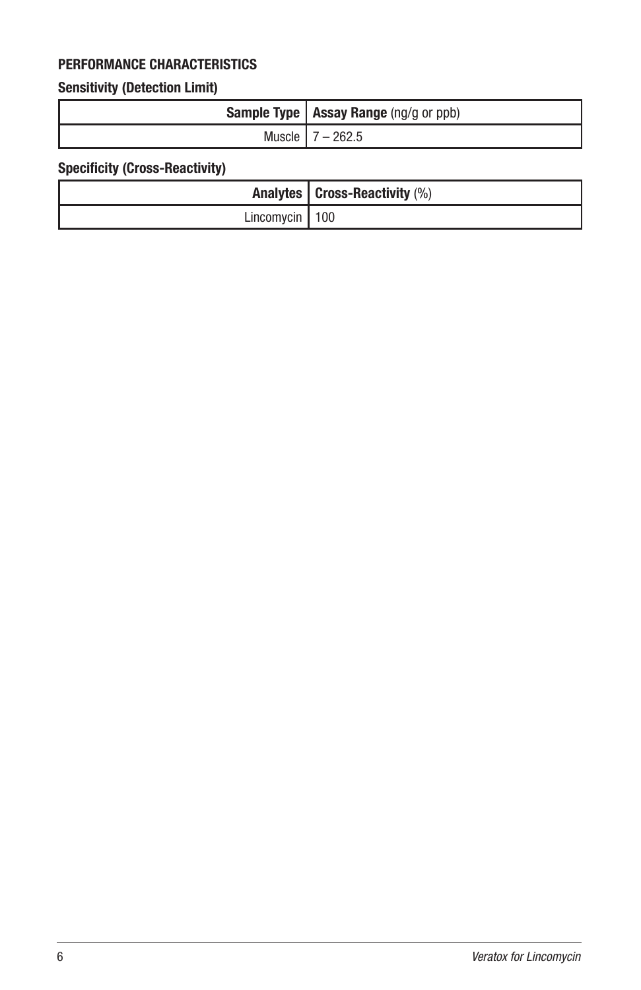# **PERFORMANCE CHARACTERISTICS**

# **Sensitivity (Detection Limit)**

| <b>Sample Type   Assay Range</b> (ng/g or ppb) |
|------------------------------------------------|
| Muscle   $7 - 262.5$                           |

# **Specificity (Cross-Reactivity)**

|                    | Analytes $ $ Cross-Reactivity $(\%)$ |
|--------------------|--------------------------------------|
| Lincomycin   $100$ |                                      |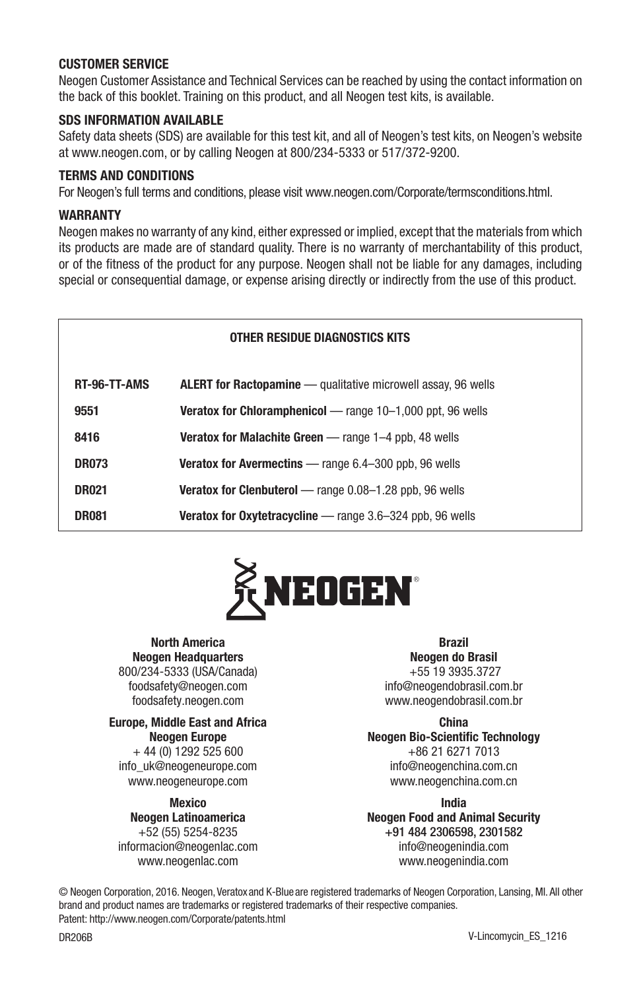## **CUSTOMER SERVICE**

Neogen Customer Assistance and Technical Services can be reached by using the contact information on the back of this booklet. Training on this product, and all Neogen test kits, is available.

#### **SDS INFORMATION AVAILABLE**

Safety data sheets (SDS) are available for this test kit, and all of Neogen's test kits, on Neogen's website at www.neogen.com, or by calling Neogen at 800/234-5333 or 517/372-9200.

#### **TERMS AND CONDITIONS**

For Neogen's full terms and conditions, please visit www.neogen.com/Corporate/termsconditions.html.

#### **WARRANTY**

Neogen makes no warranty of any kind, either expressed or implied, except that the materials from which its products are made are of standard quality. There is no warranty of merchantability of this product, or of the fitness of the product for any purpose. Neogen shall not be liable for any damages, including special or consequential damage, or expense arising directly or indirectly from the use of this product.

#### **OTHER RESIDUE DIAGNOSTICS KITS**

| RT-96-TT-AMS | <b>ALERT for Ractopamine</b> — qualitative microwell assay, 96 wells |
|--------------|----------------------------------------------------------------------|
| 9551         | Veratox for Chloramphenicol — range 10-1,000 ppt, 96 wells           |
| 8416         | <b>Veratox for Malachite Green</b> - range 1-4 ppb, 48 wells         |
| <b>DR073</b> | Veratox for Avermectins - range 6.4-300 ppb, 96 wells                |
| <b>DR021</b> | <b>Veratox for Clenbuterol</b> — range 0.08-1.28 ppb, 96 wells       |
| <b>DR081</b> | <b>Veratox for Oxytetracycline</b> — range 3.6-324 ppb, 96 wells     |



#### **North America Neogen Headquarters**

800/234-5333 (USA/Canada) foodsafety@neogen.com foodsafety.neogen.com

#### **Europe, Middle East and Africa Neogen Europe** + 44 (0) 1292 525 600 info\_uk@neogeneurope.com

www.neogeneurope.com

## **Mexico**

**Neogen Latinoamerica** +52 (55) 5254-8235 informacion@neogenlac.com www.neogenlac.com

**Brazil Neogen do Brasil**

+55 19 3935.3727 info@neogendobrasil.com.br www.neogendobrasil.com.br

**China**

**Neogen Bio-Scientific Technology** +86 21 6271 7013 info@neogenchina.com.cn www.neogenchina.com.cn

**India Neogen Food and Animal Security** +91 484 2306598, 2301582 info@neogenindia.com www.neogenindia.com

© Neogen Corporation, 2016. Neogen, Veratox and K-Blue are registered trademarks of Neogen Corporation, Lansing, MI. All other brand and product names are trademarks or registered trademarks of their respective companies. Patent: http://www.neogen.com/Corporate/patents.html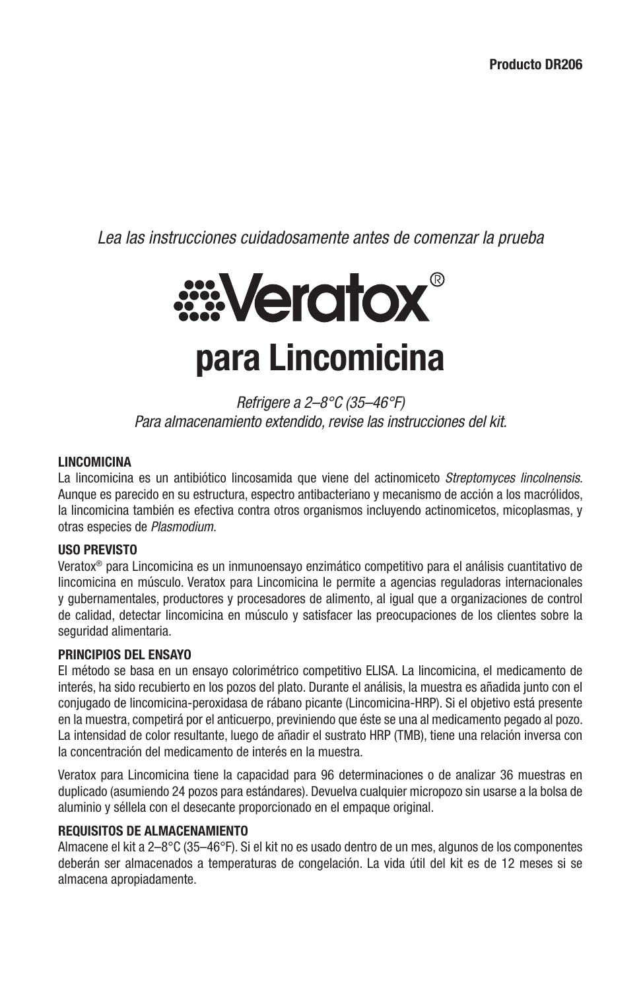*Lea las instrucciones cuidadosamente antes de comenzar la prueba*



*Refrigere a 2–8°C (35–46°F) Para almacenamiento extendido, revise las instrucciones del kit.*

## **LINCOMICINA**

La lincomicina es un antibiótico lincosamida que viene del actinomiceto *Streptomyces lincolnensis*. Aunque es parecido en su estructura, espectro antibacteriano y mecanismo de acción a los macrólidos, la lincomicina también es efectiva contra otros organismos incluyendo actinomicetos, micoplasmas, y otras especies de *Plasmodium*.

#### **USO PREVISTO**

Veratox® para Lincomicina es un inmunoensayo enzimático competitivo para el análisis cuantitativo de lincomicina en músculo. Veratox para Lincomicina le permite a agencias reguladoras internacionales y gubernamentales, productores y procesadores de alimento, al igual que a organizaciones de control de calidad, detectar lincomicina en músculo y satisfacer las preocupaciones de los clientes sobre la seguridad alimentaria.

#### **PRINCIPIOS DEL ENSAYO**

El método se basa en un ensayo colorimétrico competitivo ELISA. La lincomicina, el medicamento de interés, ha sido recubierto en los pozos del plato. Durante el análisis, la muestra es añadida junto con el conjugado de lincomicina-peroxidasa de rábano picante (Lincomicina-HRP). Si el objetivo está presente en la muestra, competirá por el anticuerpo, previniendo que éste se una al medicamento pegado al pozo. La intensidad de color resultante, luego de añadir el sustrato HRP (TMB), tiene una relación inversa con la concentración del medicamento de interés en la muestra.

Veratox para Lincomicina tiene la capacidad para 96 determinaciones o de analizar 36 muestras en duplicado (asumiendo 24 pozos para estándares). Devuelva cualquier micropozo sin usarse a la bolsa de aluminio y séllela con el desecante proporcionado en el empaque original.

#### **REQUISITOS DE ALMACENAMIENTO**

Almacene el kit a 2–8°C (35–46°F). Si el kit no es usado dentro de un mes, algunos de los componentes deberán ser almacenados a temperaturas de congelación. La vida útil del kit es de 12 meses si se almacena apropiadamente.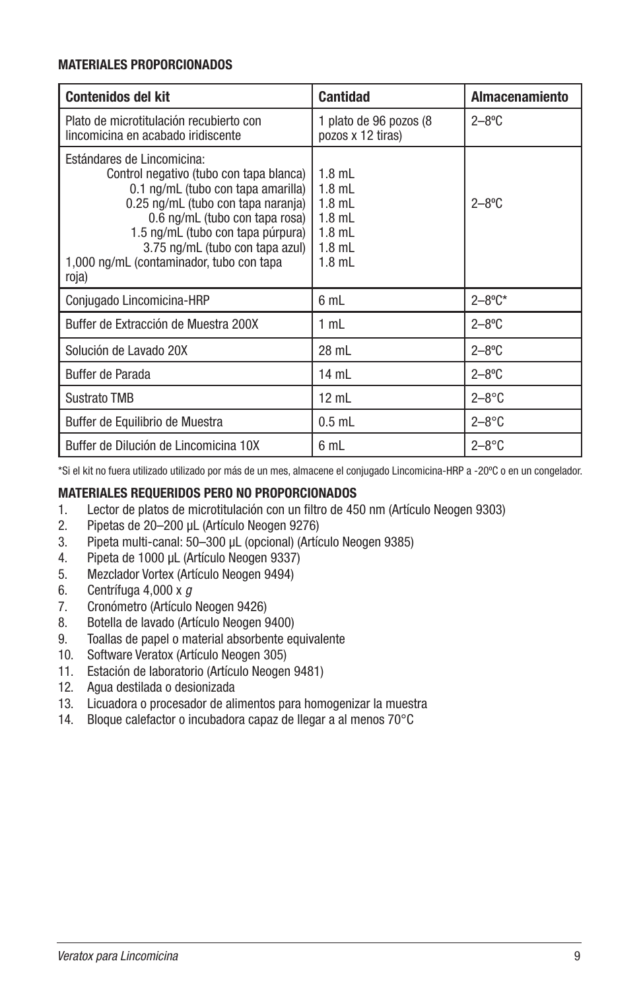## **MATERIALES PROPORCIONADOS**

| <b>Contenidos del kit</b>                                                                                                                                                                                                                                                                                        | <b>Cantidad</b>                                                                  | <b>Almacenamiento</b> |
|------------------------------------------------------------------------------------------------------------------------------------------------------------------------------------------------------------------------------------------------------------------------------------------------------------------|----------------------------------------------------------------------------------|-----------------------|
| Plato de microtitulación recubierto con<br>lincomicina en acabado iridiscente                                                                                                                                                                                                                                    | 1 plato de 96 pozos (8<br>pozos x 12 tiras)                                      | $2 - 8$ °C            |
| Estándares de Lincomicina:<br>Control negativo (tubo con tapa blanca)<br>0.1 ng/mL (tubo con tapa amarilla)<br>0.25 ng/mL (tubo con tapa naranja)<br>0.6 ng/mL (tubo con tapa rosa)<br>1.5 ng/mL (tubo con tapa púrpura)<br>3.75 ng/mL (tubo con tapa azul)<br>1,000 ng/mL (contaminador, tubo con tapa<br>roja) | $1.8$ mL<br>$1.8$ mL<br>$1.8$ mL<br>$1.8$ mL<br>$1.8$ mL<br>$1.8$ mL<br>$1.8$ mL | $2 - 8$ °C            |
| Conjugado Lincomicina-HRP                                                                                                                                                                                                                                                                                        | 6 mL                                                                             | $2 - 8$ °C*           |
| Buffer de Extracción de Muestra 200X                                                                                                                                                                                                                                                                             | 1 mL                                                                             | $2 - 8$ °C            |
| Solución de Lavado 20X                                                                                                                                                                                                                                                                                           | 28 mL                                                                            | $2 - 8$ °C            |
| Buffer de Parada                                                                                                                                                                                                                                                                                                 | 14 mL                                                                            | $2 - 8$ °C            |
| <b>Sustrato TMB</b>                                                                                                                                                                                                                                                                                              | $12$ mL                                                                          | $2 - 8$ °C            |
| Buffer de Equilibrio de Muestra                                                                                                                                                                                                                                                                                  | $0.5$ mL                                                                         | $2 - 8$ °C            |
| Buffer de Dilución de Lincomicina 10X                                                                                                                                                                                                                                                                            | 6 mL                                                                             | $2 - 8$ °C            |

\*Si el kit no fuera utilizado utilizado por más de un mes, almacene el conjugado Lincomicina-HRP a -20ºC o en un congelador.

## **MATERIALES REQUERIDOS PERO NO PROPORCIONADOS**

- 1. Lector de platos de microtitulación con un filtro de 450 nm (Artículo Neogen 9303)
- 2. Pipetas de 20–200 µL (Artículo Neogen 9276)
- 3. Pipeta multi-canal: 50–300 µL (opcional) (Artículo Neogen 9385)
- 4. Pipeta de 1000 µL (Artículo Neogen 9337)
- 5. Mezclador Vortex (Artículo Neogen 9494)
- 6. Centrífuga 4,000 x *g*
- 7. Cronómetro (Artículo Neogen 9426)
- 8. Botella de lavado (Artículo Neogen 9400)
- 9. Toallas de papel o material absorbente equivalente
- 10. Software Veratox (Artículo Neogen 305)
- 11. Estación de laboratorio (Artículo Neogen 9481)
- 12. Agua destilada o desionizada
- 13. Licuadora o procesador de alimentos para homogenizar la muestra
- 14. Bloque calefactor o incubadora capaz de llegar a al menos 70°C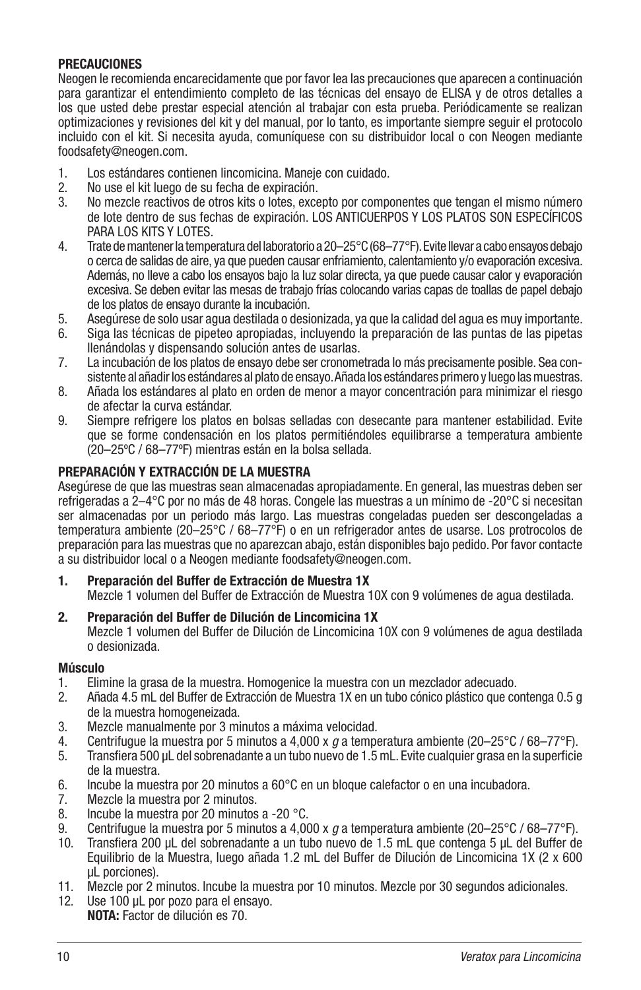## **PRECAUCIONES**

Neogen le recomienda encarecidamente que por favor lea las precauciones que aparecen a continuación para garantizar el entendimiento completo de las técnicas del ensayo de ELISA y de otros detalles a los que usted debe prestar especial atención al trabajar con esta prueba. Periódicamente se realizan optimizaciones y revisiones del kit y del manual, por lo tanto, es importante siempre seguir el protocolo incluido con el kit. Si necesita ayuda, comuníquese con su distribuidor local o con Neogen mediante foodsafety@neogen.com.

- 1. Los estándares contienen lincomicina. Maneje con cuidado.
- 2. No use el kit luego de su fecha de expiración.
- 3. No mezcle reactivos de otros kits o lotes, excepto por componentes que tengan el mismo número de lote dentro de sus fechas de expiración. LOS ANTICUERPOS Y LOS PLATOS SON ESPECÍFICOS PARA LOS KITS Y LOTES.
- 4. Trate de mantener la temperatura del laboratorio a 20–25°C (68–77°F). Evite llevar a cabo ensayos debajo o cerca de salidas de aire, ya que pueden causar enfriamiento, calentamiento y/o evaporación excesiva. Además, no lleve a cabo los ensayos bajo la luz solar directa, ya que puede causar calor y evaporación excesiva. Se deben evitar las mesas de trabajo frías colocando varias capas de toallas de papel debajo de los platos de ensayo durante la incubación.
- 5. Asegúrese de solo usar agua destilada o desionizada, ya que la calidad del agua es muy importante.
- 6. Siga las técnicas de pipeteo apropiadas, incluyendo la preparación de las puntas de las pipetas llenándolas y dispensando solución antes de usarlas.
- 7. La incubación de los platos de ensayo debe ser cronometrada lo más precisamente posible. Sea consistente al añadir los estándares al plato de ensayo. Añada los estándares primero y luego las muestras.
- 8. Añada los estándares al plato en orden de menor a mayor concentración para minimizar el riesgo de afectar la curva estándar.
- 9. Siempre refrigere los platos en bolsas selladas con desecante para mantener estabilidad. Evite que se forme condensación en los platos permitiéndoles equilibrarse a temperatura ambiente (20–25ºC / 68–77ºF) mientras están en la bolsa sellada.

## **PREPARACIÓN Y EXTRACCIÓN DE LA MUESTRA**

Asegúrese de que las muestras sean almacenadas apropiadamente. En general, las muestras deben ser refrigeradas a 2–4°C por no más de 48 horas. Congele las muestras a un mínimo de -20°C si necesitan ser almacenadas por un periodo más largo. Las muestras congeladas pueden ser descongeladas a temperatura ambiente (20–25°C / 68–77°F) o en un refrigerador antes de usarse. Los protrocolos de preparación para las muestras que no aparezcan abajo, están disponibles bajo pedido. Por favor contacte a su distribuidor local o a Neogen mediante foodsafety@neogen.com.

- **1. Preparación del Buffer de Extracción de Muestra 1X**
	- Mezcle 1 volumen del Buffer de Extracción de Muestra 10X con 9 volúmenes de agua destilada.
- **2. Preparación del Buffer de Dilución de Lincomicina 1X**
	- Mezcle 1 volumen del Buffer de Dilución de Lincomicina 10X con 9 volúmenes de agua destilada o desionizada.

#### **Músculo**

- 1. Elimine la grasa de la muestra. Homogenice la muestra con un mezclador adecuado.
- 2. Añada 4.5 mL del Buffer de Extracción de Muestra 1X en un tubo cónico plástico que contenga 0.5 g de la muestra homogeneizada.
- 3. Mezcle manualmente por 3 minutos a máxima velocidad.
- 4. Centrifugue la muestra por 5 minutos a 4,000 x *g* a temperatura ambiente (20–25°C / 68–77°F).
- 5. Transfiera 500 µL del sobrenadante a un tubo nuevo de 1.5 mL. Evite cualquier grasa en la superficie de la muestra.
- 6. Incube la muestra por 20 minutos a 60°C en un bloque calefactor o en una incubadora.
- 7. Mezcle la muestra por 2 minutos.
- 8. Incube la muestra por 20 minutos a -20 °C.
- 9. Centrifugue la muestra por 5 minutos a 4,000 x *g* a temperatura ambiente (20–25°C / 68–77°F).
- 10. Transfiera 200 µL del sobrenadante a un tubo nuevo de 1.5 mL que contenga 5 µL del Buffer de Equilibrio de la Muestra, luego añada 1.2 mL del Buffer de Dilución de Lincomicina 1X (2 x 600 µL porciones).
- 11. Mezcle por 2 minutos. Incube la muestra por 10 minutos. Mezcle por 30 segundos adicionales.
- 12. Use 100 µL por pozo para el ensayo. **NOTA:** Factor de dilución es 70.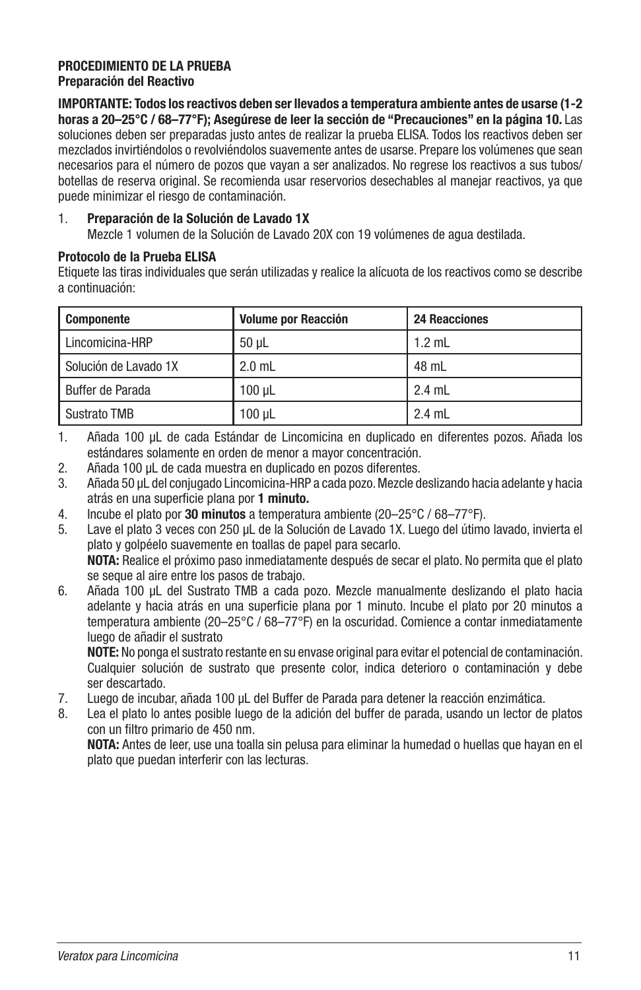## **PROCEDIMIENTO DE LA PRUEBA Preparación del Reactivo**

**IMPORTANTE: Todos los reactivos deben ser llevados a temperatura ambiente antes de usarse (1-2 horas a 20–25°C / 68–77°F); Asegúrese de leer la sección de "Precauciones" en la página 10.** Las soluciones deben ser preparadas justo antes de realizar la prueba ELISA. Todos los reactivos deben ser mezclados invirtiéndolos o revolviéndolos suavemente antes de usarse. Prepare los volúmenes que sean necesarios para el número de pozos que vayan a ser analizados. No regrese los reactivos a sus tubos/ botellas de reserva original. Se recomienda usar reservorios desechables al manejar reactivos, ya que puede minimizar el riesgo de contaminación.

## 1. **Preparación de la Solución de Lavado 1X**

Mezcle 1 volumen de la Solución de Lavado 20X con 19 volúmenes de agua destilada.

#### **Protocolo de la Prueba ELISA**

Etiquete las tiras individuales que serán utilizadas y realice la alícuota de los reactivos como se describe a continuación:

| Componente            | <b>Volume por Reacción</b> | <b>24 Reacciones</b> |
|-----------------------|----------------------------|----------------------|
| Lincomicina-HRP       | $50 \mu L$                 | $1.2$ mL             |
| Solución de Lavado 1X | $2.0$ mL                   | 48 mL                |
| Buffer de Parada      | 100 uL                     | $2.4$ mL             |
| Sustrato TMB          | $100$ $\mu$ L              | $2.4$ mL             |

1. Añada 100 µL de cada Estándar de Lincomicina en duplicado en diferentes pozos. Añada los estándares solamente en orden de menor a mayor concentración.

- 2. Añada 100 µL de cada muestra en duplicado en pozos diferentes.
- 3. Añada 50 µL del conjugado Lincomicina-HRP a cada pozo. Mezcle deslizando hacia adelante y hacia atrás en una superficie plana por **1 minuto.**
- 4. Incube el plato por **30 minutos** a temperatura ambiente (20–25°C / 68–77°F).
- 5. Lave el plato 3 veces con 250 µL de la Solución de Lavado 1X. Luego del útimo lavado, invierta el plato y golpéelo suavemente en toallas de papel para secarlo. **NOTA:** Realice el próximo paso inmediatamente después de secar el plato. No permita que el plato se seque al aire entre los pasos de trabajo.
- 6. Añada 100 µL del Sustrato TMB a cada pozo. Mezcle manualmente deslizando el plato hacia adelante y hacia atrás en una superficie plana por 1 minuto. Incube el plato por 20 minutos a temperatura ambiente (20–25°C / 68–77°F) en la oscuridad. Comience a contar inmediatamente luego de añadir el sustrato

**NOTE:** No ponga el sustrato restante en su envase original para evitar el potencial de contaminación. Cualquier solución de sustrato que presente color, indica deterioro o contaminación y debe ser descartado.

- 7. Luego de incubar, añada 100 µL del Buffer de Parada para detener la reacción enzimática.
- 8. Lea el plato lo antes posible luego de la adición del buffer de parada, usando un lector de platos con un filtro primario de 450 nm.

**NOTA:** Antes de leer, use una toalla sin pelusa para eliminar la humedad o huellas que hayan en el plato que puedan interferir con las lecturas.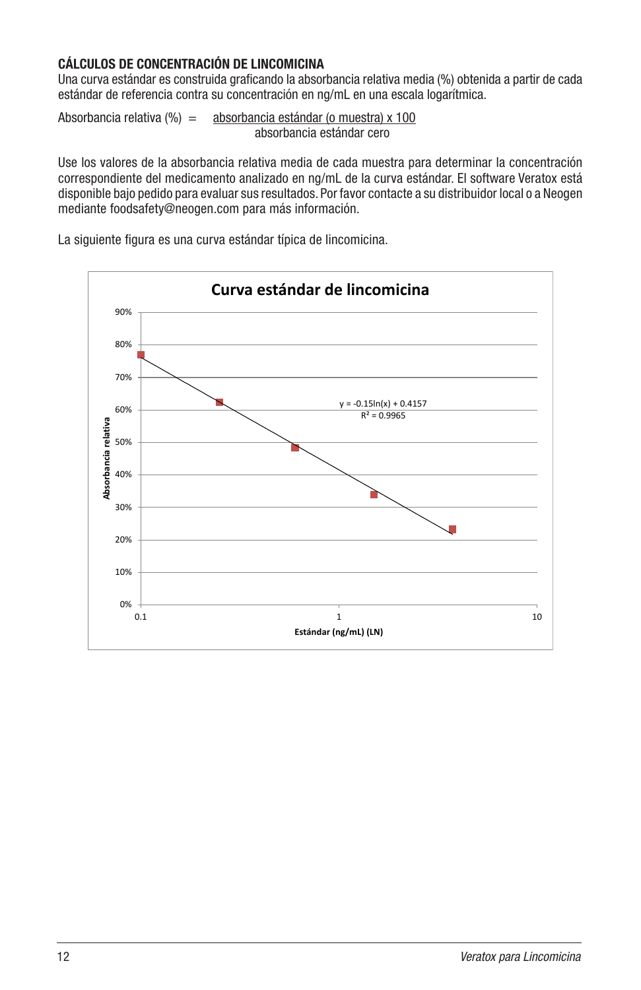# **CÁLCULOS DE CONCENTRACIÓN DE LINCOMICINA**

Una curva estándar es construida graficando la absorbancia relativa media (%) obtenida a partir de cada estándar de referencia contra su concentración en ng/mL en una escala logarítmica.

Absorbancia relativa  $\frac{9}{6} = \frac{1}{2}$ absorbancia estándar (o muestra) x 100 absorbancia estándar cero

Use los valores de la absorbancia relativa media de cada muestra para determinar la concentración correspondiente del medicamento analizado en ng/mL de la curva estándar. El software Veratox está disponible bajo pedido para evaluar sus resultados. Por favor contacte a su distribuidor local o a Neogen mediante foodsafety@neogen.com para más información.

La siguiente figura es una curva estándar típica de lincomicina.

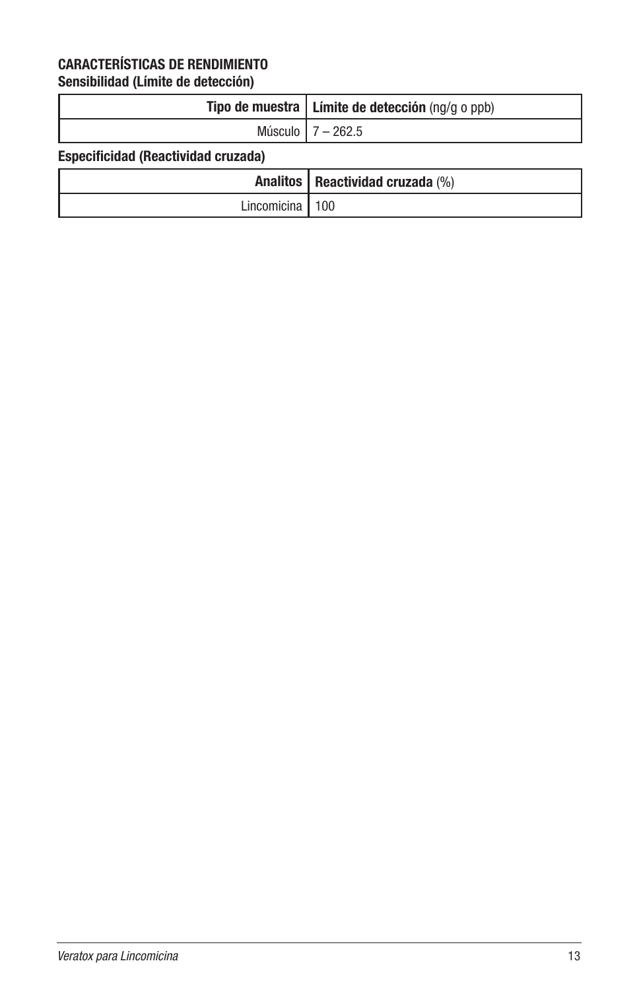# **CARACTERÍSTICAS DE RENDIMIENTO**

**Sensibilidad (Límite de detección)**

| Tipo de muestra $ $ Límite de detección (ng/g o ppb) |
|------------------------------------------------------|
| Músculo 1 7 – 262.5                                  |

# **Especificidad (Reactividad cruzada)**

|                   | Analitos   Reactividad cruzada (%) |
|-------------------|------------------------------------|
| Lincomicina   100 |                                    |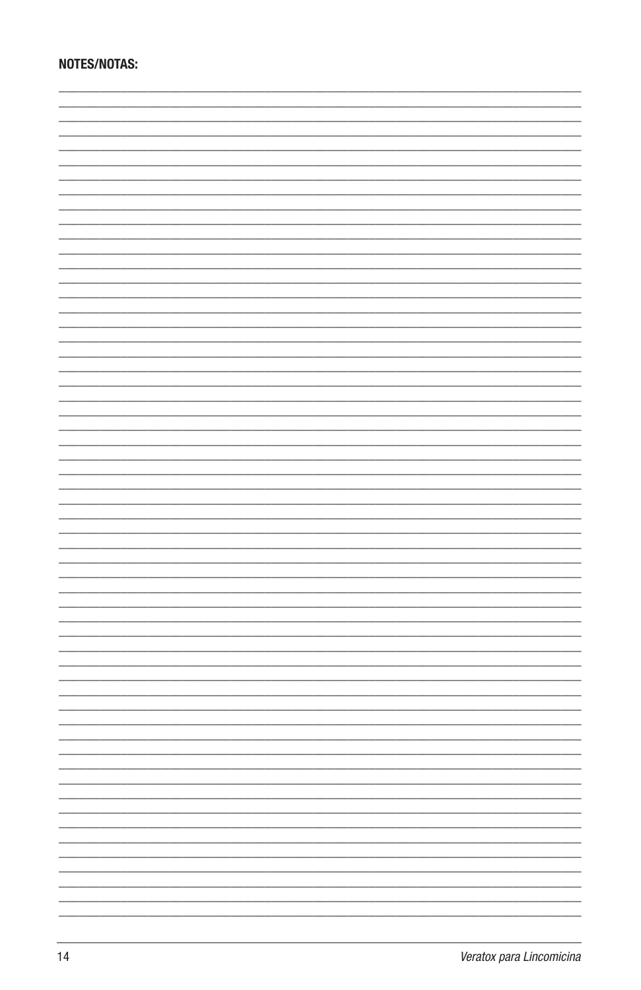# **NOTES/NOTAS:**

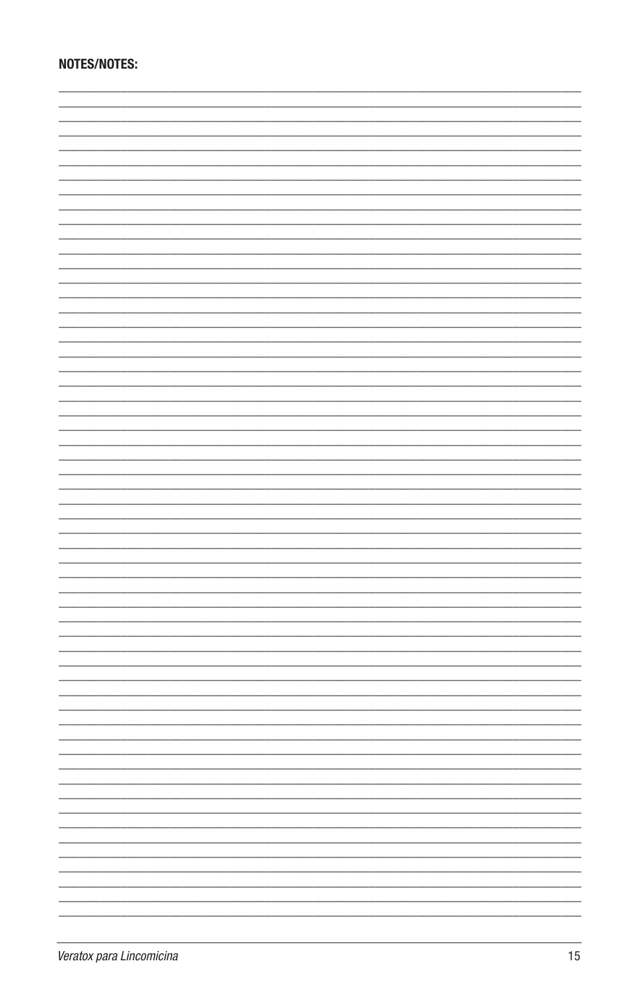# NOTES/NOTES: